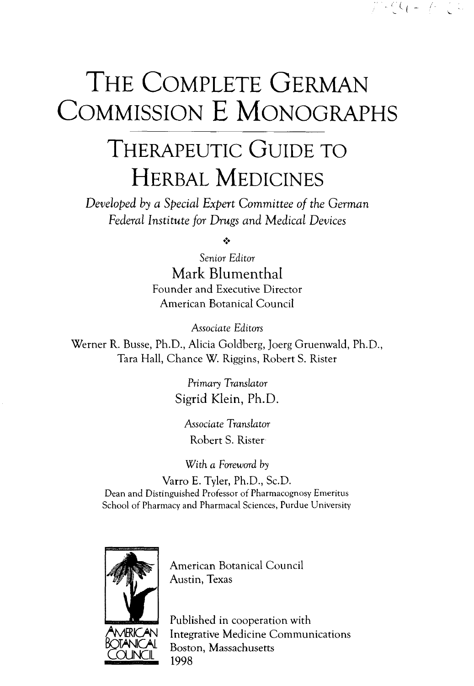## THE COMPLETE GERMAN COMMISSION E MONOGRAPHS

 $\mathcal{L}^{\infty} \circ C_{1} = \mathcal{L}^{\infty} \circ \mathcal{L}$ 

## THERAPEUTIC GUIDE TO HERBAL MEDICINES

*Developed* b} *a Special Expert Committee of the German Federal Institute for Drugs and Medical Devices*

 $\ddot{\bullet}$ 

*Senior Editor* Mark Blumenthal Founder and Executive Director American Botanical Council

*Associate Editors*

Werner R. Busse, Ph.D., Alicia Goldberg, Joerg Gruenwald, Ph.D., Tara Hall, Chance W. Riggins, Robert S. Rister

> *Primary Translator* Sigrid Klein, Ph.D.

Associate *Translator* Robert S. Rister

With a Foreword by

Varro E. Tyler, Ph.D., Sc.D. Dean and Distinguished Professor of Pharmacognosy Emeritus School of Pharmacy and Pharmacal Sciences, Purdue University



<u>COUNCIL</u>

American Botanical Council Austin, Texas

Published in cooperation with Integrative Medicine Communications Boston, Massachusetts 1998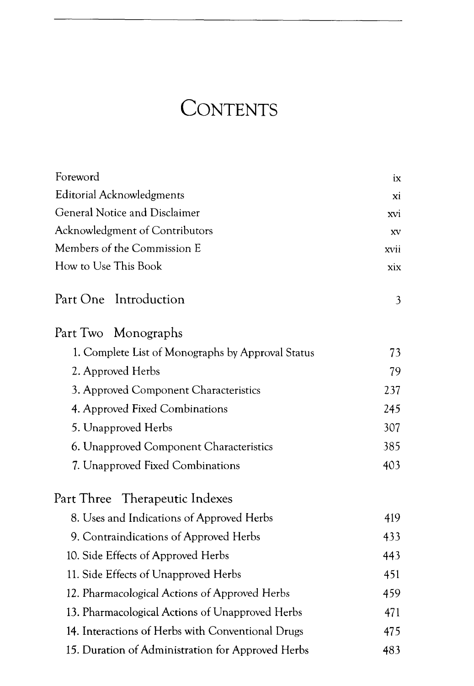## **CONTENTS**

| Foreword                                          | ix   |
|---------------------------------------------------|------|
| Editorial Acknowledgments                         | xi   |
| General Notice and Disclaimer                     | xvi  |
| Acknowledgment of Contributors                    | XV   |
| Members of the Commission E                       | xvii |
| How to Use This Book                              | xix  |
| Introduction<br>Part One                          | 3    |
| Part Two Monographs                               |      |
| 1. Complete List of Monographs by Approval Status | 73   |
| 2. Approved Herbs                                 | 79   |
| 3. Approved Component Characteristics             | 237  |
| 4. Approved Fixed Combinations                    | 245  |
| 5. Unapproved Herbs                               | 307  |
| 6. Unapproved Component Characteristics           | 385  |
| 7. Unapproved Fixed Combinations                  | 403  |
| Part Three Therapeutic Indexes                    |      |
| 8. Uses and Indications of Approved Herbs         | 419  |
| 9. Contraindications of Approved Herbs            | 433  |
| 10. Side Effects of Approved Herbs                | 443  |
| 11. Side Effects of Unapproved Herbs              | 451  |
| 12. Pharmacological Actions of Approved Herbs     | 459  |
| 13. Pharmacological Actions of Unapproved Herbs   | 471  |
| 14. Interactions of Herbs with Conventional Drugs | 475  |
| 15. Duration of Administration for Approved Herbs | 483  |